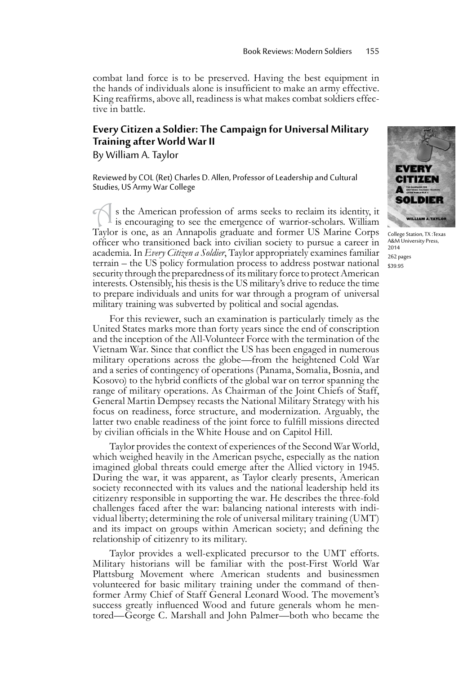combat land force is to be preserved. Having the best equipment in the hands of individuals alone is insufficient to make an army effective. King reaffirms, above all, readiness is what makes combat soldiers effec-<br>tive in battle.

## **Every Citizen a Soldier: The Campaign for Universal Military Training after World War II**

By William A. Taylor

Reviewed by COL (Ret) Charles D. Allen, Professor of Leadership and Cultural Studies, US Army War College

s the American profession of arms seeks to reclaim its identity, it is encouraging to see the emergence of warrior-scholars. William Taylor is one, as an Annapolis graduate and former US Marine Corps officer who transitioned back into civilian society to pursue a career in academia. In *Every Citizen a Soldier*, Taylor appropriately examines familiar terrain – the US policy formulation process to address postwar national security through the preparedness of its military force to protect American interests. Ostensibly, his thesis is the US military's drive to reduce the time to prepare individuals and units for war through a program of universal military training was subverted by political and social agendas.

For this reviewer, such an examination is particularly timely as the United States marks more than forty years since the end of conscription and the inception of the All-Volunteer Force with the termination of the Vietnam War. Since that conflict the US has been engaged in numerous military operations across the globe—from the heightened Cold War and a series of contingency of operations (Panama, Somalia, Bosnia, and Kosovo) to the hybrid conflicts of the global war on terror spanning the range of military operations. As Chairman of the Joint Chiefs of Staff, General Martin Dempsey recasts the National Military Strategy with his focus on readiness, force structure, and modernization. Arguably, the latter two enable readiness of the joint force to fulfill missions directed by civilian officials in the White House and on Capitol Hill.

Taylor provides the context of experiences of the Second War World, which weighed heavily in the American psyche, especially as the nation imagined global threats could emerge after the Allied victory in 1945. During the war, it was apparent, as Taylor clearly presents, American society reconnected with its values and the national leadership held its citizenry responsible in supporting the war. He describes the three-fold challenges faced after the war: balancing national interests with individual liberty; determining the role of universal military training (UMT) and its impact on groups within American society; and defining the relationship of citizenry to its military.

Taylor provides a well-explicated precursor to the UMT efforts. Military historians will be familiar with the post-First World War Plattsburg Movement where American students and businessmen volunteered for basic military training under the command of thenformer Army Chief of Staff General Leonard Wood. The movement's tored—George C. Marshall and John Palmer—both who became the



College Station, TX :Texas A&M University Press, 2014 262 pages \$39.95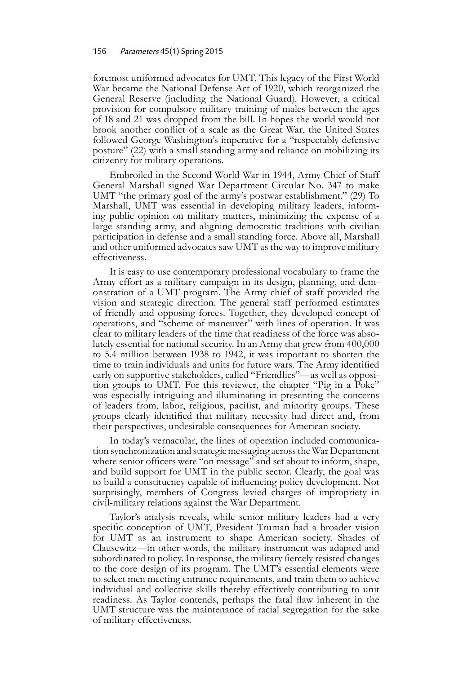foremost uniformed advocates for UMT. This legacy of the First World War became the National Defense Act of 1920, which reorganized the General Reserve (including the National Guard). However, a critical provision for compulsory military training of males between the ages of 18 and 21 was dropped from the bill. In hopes the world would not brook another conflict of a scale as the Great War, the United States followed George Washington's imperative for a "respectably defensive posture" (22) with a small standing army and reliance on mobilizing its citizenry for military operations.

Embroiled in the Second World War in 1944, Army Chief of Staff General Marshall signed War Department Circular No. 347 to make UMT "the primary goal of the army's postwar establishment." (29) To Marshall, UMT was essential in developing military leaders, informing public opinion on military matters, minimizing the expense of a large standing army, and aligning democratic traditions with civilian participation in defense and a small standing force. Above all, Marshall and other uniformed advocates saw UMT as the way to improve military effectiveness.

It is easy to use contemporary professional vocabulary to frame the Army effort as a military campaign in its design, planning, and demonstration of a UMT program. The Army chief of staff provided the vision and strategic direction. The general staff performed estimates of friendly and opposing forces. Together, they developed concept of operations, and "scheme of maneuver" with lines of operation. It was clear to military leaders of the time that readiness of the force was absolutely essential for national security. In an Army that grew from 400,000 to 5.4 million between 1938 to 1942, it was important to shorten the time to train individuals and units for future wars. The Army identified early on supportive stakeholders, called "Friendlies"—as well as opposition groups to UMT. For this reviewer, the chapter "Pig in a Poke" was especially intriguing and illuminating in presenting the concerns of leaders from, labor, religious, pacifist, and minority groups. These groups clearly identified that military necessity had direct and, from their perspectives, undesirable consequences for American society.

In today's vernacular, the lines of operation included communication synchronization and strategic messaging across the War Department where senior officers were "on message" and set about to inform, shape, and build support for UMT in the public sector. Clearly, the goal was to build a constituency capable of influencing policy development. Not surprisingly, members of Congress levied charges of impropriety in civil-military relations against the War Department.

Taylor's analysis reveals, while senior military leaders had a very specific conception of UMT, President Truman had a broader vision for UMT as an instrument to shape American society. Shades of Clausewitz—in other words, the military instrument was adapted and subordinated to policy. In response, the military fiercely resisted changes to the core design of its program. The UMT's essential elements were to select men meeting entrance requirements, and train them to achieve individual and collective skills thereby effectively contributing to unit readiness. As Taylor contends, perhaps the fatal flaw inherent in the UMT structure was the maintenance of racial segregation for the sake of military effectiveness.